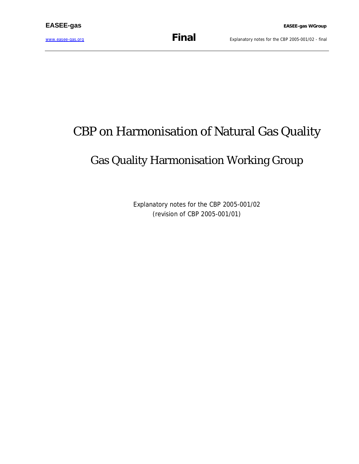[www.easee-gas.org](http://www.easee-gas.org) **Final** Explanatory notes for the CBP 2005-001/02 - final

# CBP on Harmonisation of Natural Gas Quality

## Gas Quality Harmonisation Working Group

Explanatory notes for the CBP 2005-001/02 (revision of CBP 2005-001/01)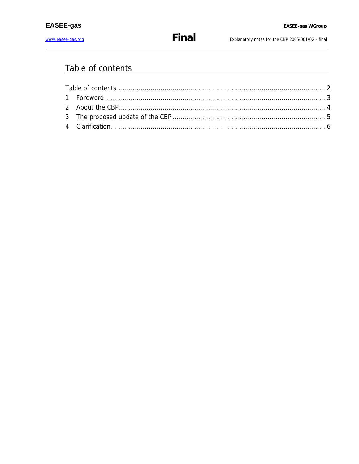Explanatory notes for the CBP 2005-001/02 - final

### Table of contents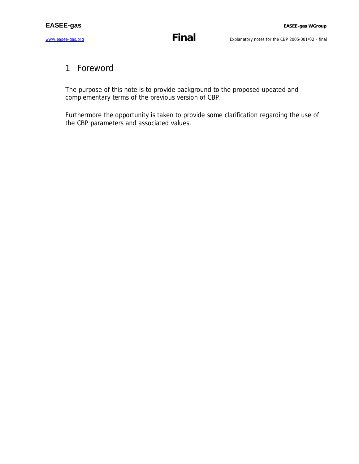#### 1 Foreword

The purpose of this note is to provide background to the proposed updated and complementary terms of the previous version of CBP.

Furthermore the opportunity is taken to provide some clarification regarding the use of the CBP parameters and associated values.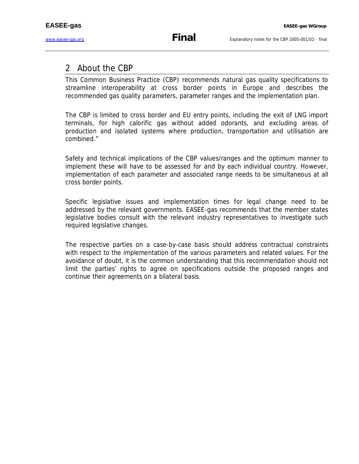#### 2 About the CBP

This Common Business Practice (CBP) recommends natural gas quality specifications to streamline interoperability at cross border points in Europe and describes the recommended gas quality parameters, parameter ranges and the implementation plan.

The CBP is limited to cross border and EU entry points, including the exit of LNG import terminals, for high calorific gas without added odorants, and excluding areas of production and isolated systems where production, transportation and utilisation are combined."

Safety and technical implications of the CBP values/ranges and the optimum manner to implement these will have to be assessed for and by each individual country. However, implementation of each parameter and associated range needs to be simultaneous at all cross border points.

Specific legislative issues and implementation times for legal change need to be addressed by the relevant governments. EASEE-gas recommends that the member states legislative bodies consult with the relevant industry representatives to investigate such required legislative changes.

The respective parties on a case-by-case basis should address contractual constraints with respect to the implementation of the various parameters and related values. For the avoidance of doubt, it is the common understanding that this recommendation should not limit the parties' rights to agree on specifications outside the proposed ranges and continue their agreements on a bilateral basis.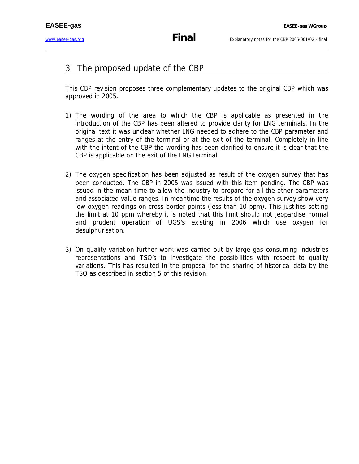#### 3 The proposed update of the CBP

This CBP revision proposes three complementary updates to the original CBP which was approved in 2005.

- 1) The wording of the area to which the CBP is applicable as presented in the introduction of the CBP has been altered to provide clarity for LNG terminals. In the original text it was unclear whether LNG needed to adhere to the CBP parameter and ranges at the entry of the terminal or at the exit of the terminal. Completely in line with the intent of the CBP the wording has been clarified to ensure it is clear that the CBP is applicable on the exit of the LNG terminal.
- 2) The oxygen specification has been adjusted as result of the oxygen survey that has been conducted. The CBP in 2005 was issued with this item pending. The CBP was issued in the mean time to allow the industry to prepare for all the other parameters and associated value ranges. In meantime the results of the oxygen survey show very low oxygen readings on cross border points (less than 10 ppm). This justifies setting the limit at 10 ppm whereby it is noted that this limit should not jeopardise normal and prudent operation of UGS's existing in 2006 which use oxygen for desulphurisation.
- 3) On quality variation further work was carried out by large gas consuming industries representations and TSO's to investigate the possibilities with respect to quality variations. This has resulted in the proposal for the sharing of historical data by the TSO as described in section 5 of this revision.